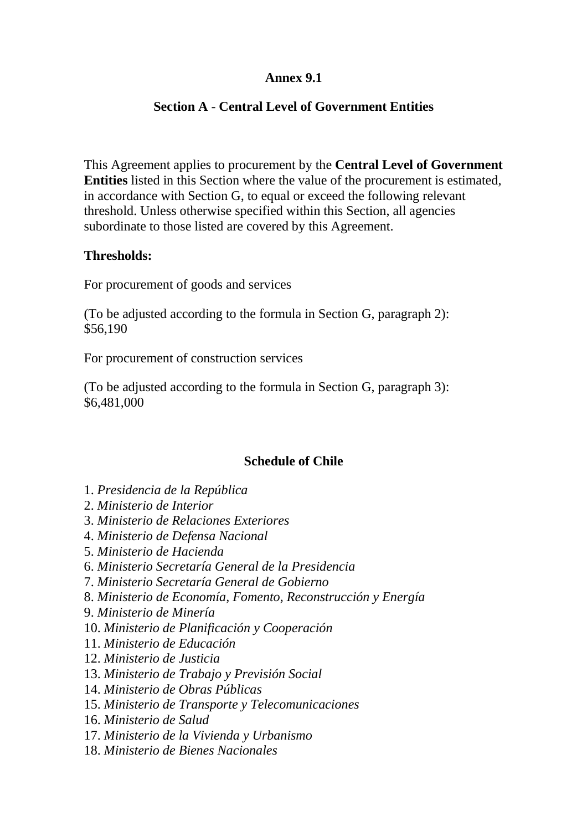# **Annex 9.1**

# **Section A** - **Central Level of Government Entities**

This Agreement applies to procurement by the **Central Level of Government Entities** listed in this Section where the value of the procurement is estimated, in accordance with Section G, to equal or exceed the following relevant threshold. Unless otherwise specified within this Section, all agencies subordinate to those listed are covered by this Agreement.

#### **Thresholds:**

For procurement of goods and services

(To be adjusted according to the formula in Section G, paragraph 2): \$56,190

For procurement of construction services

(To be adjusted according to the formula in Section G, paragraph 3): \$6,481,000

# **Schedule of Chile**

- 1. *Presidencia de la República*
- 2. *Ministerio de Interior*
- 3. *Ministerio de Relaciones Exteriores*
- 4. *Ministerio de Defensa Nacional*
- 5. *Ministerio de Hacienda*
- 6. *Ministerio Secretaría General de la Presidencia*
- 7. *Ministerio Secretaría General de Gobierno*
- 8. *Ministerio de Economía, Fomento, Reconstrucción y Energía*
- 9. *Ministerio de Minería*
- 10. *Ministerio de Planificación y Cooperación*
- 11. *Ministerio de Educación*
- 12. *Ministerio de Justicia*
- 13. *Ministerio de Trabajo y Previsión Social*
- 14. *Ministerio de Obras Públicas*
- 15. *Ministerio de Transporte y Telecomunicaciones*
- 16. *Ministerio de Salud*
- 17. *Ministerio de la Vivienda y Urbanismo*
- 18. *Ministerio de Bienes Nacionales*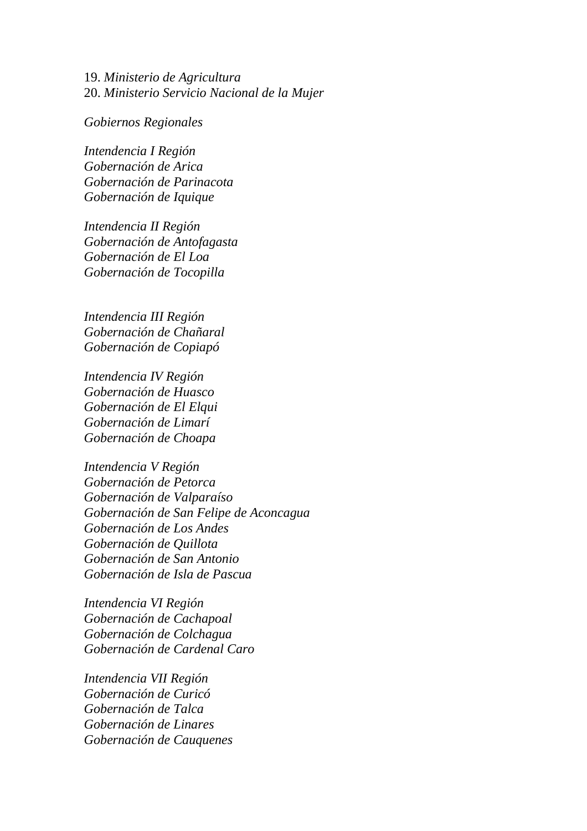19. *Ministerio de Agricultura* 20. *Ministerio Servicio Nacional de la Mujer*

*Gobiernos Regionales* 

*Intendencia I Región Gobernación de Arica Gobernación de Parinacota Gobernación de Iquique* 

*Intendencia II Región Gobernación de Antofagasta Gobernación de El Loa Gobernación de Tocopilla* 

*Intendencia III Región Gobernación de Chañaral Gobernación de Copiapó* 

*Intendencia IV Región Gobernación de Huasco Gobernación de El Elqui Gobernación de Limarí Gobernación de Choapa* 

*Intendencia V Región Gobernación de Petorca Gobernación de Valparaíso Gobernación de San Felipe de Aconcagua Gobernación de Los Andes Gobernación de Quillota Gobernación de San Antonio Gobernación de Isla de Pascua* 

*Intendencia VI Región Gobernación de Cachapoal Gobernación de Colchagua Gobernación de Cardenal Caro* 

*Intendencia VII Región Gobernación de Curicó Gobernación de Talca Gobernación de Linares Gobernación de Cauquenes*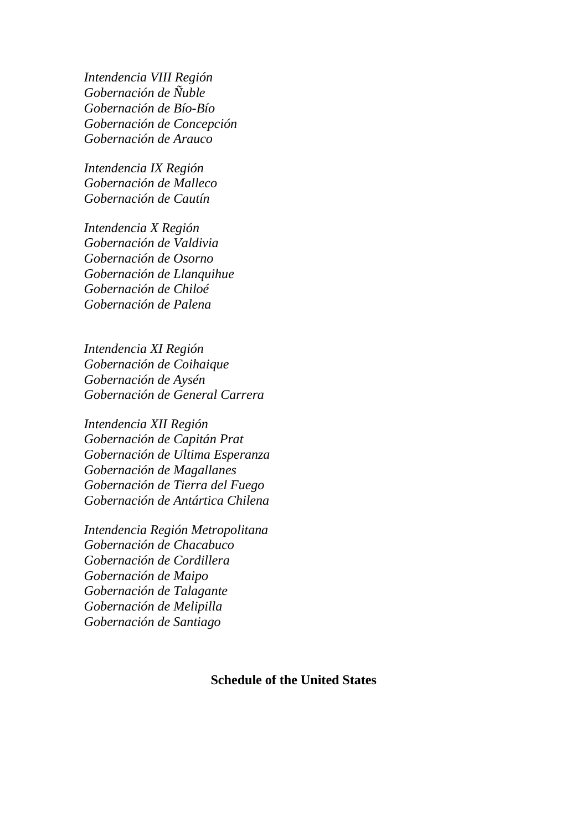*Intendencia VIII Región Gobernación de Ñuble Gobernación de Bío-Bío Gobernación de Concepción Gobernación de Arauco* 

*Intendencia IX Región Gobernación de Malleco Gobernación de Cautín* 

*Intendencia X Región Gobernación de Valdivia Gobernación de Osorno Gobernación de Llanquihue Gobernación de Chiloé Gobernación de Palena* 

*Intendencia XI Región Gobernación de Coihaique Gobernación de Aysén Gobernación de General Carrera* 

*Intendencia XII Región Gobernación de Capitán Prat Gobernación de Ultima Esperanza Gobernación de Magallanes Gobernación de Tierra del Fuego Gobernación de Antártica Chilena* 

*Intendencia Región Metropolitana Gobernación de Chacabuco Gobernación de Cordillera Gobernación de Maipo Gobernación de Talagante Gobernación de Melipilla Gobernación de Santiago* 

#### **Schedule of the United States**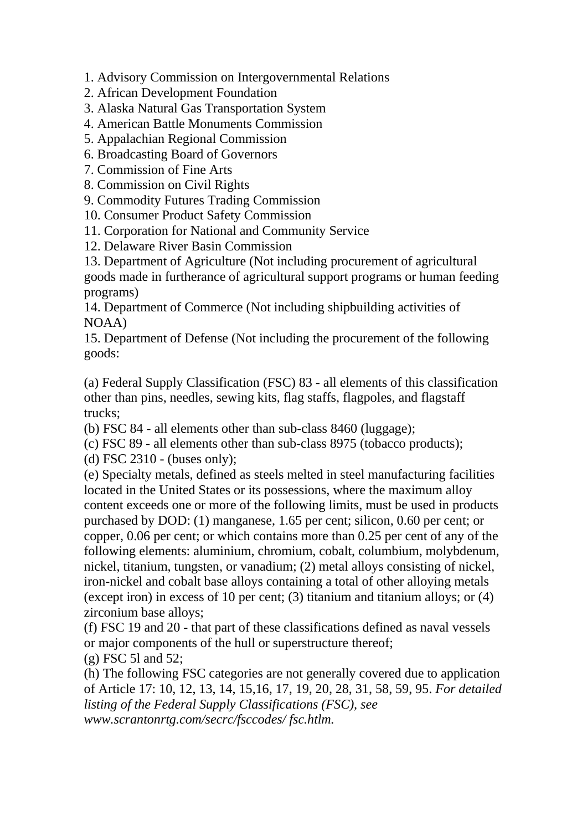1. Advisory Commission on Intergovernmental Relations

- 2. African Development Foundation
- 3. Alaska Natural Gas Transportation System
- 4. American Battle Monuments Commission
- 5. Appalachian Regional Commission
- 6. Broadcasting Board of Governors
- 7. Commission of Fine Arts
- 8. Commission on Civil Rights
- 9. Commodity Futures Trading Commission
- 10. Consumer Product Safety Commission
- 11. Corporation for National and Community Service
- 12. Delaware River Basin Commission

13. Department of Agriculture (Not including procurement of agricultural goods made in furtherance of agricultural support programs or human feeding programs)

14. Department of Commerce (Not including shipbuilding activities of NOAA)

15. Department of Defense (Not including the procurement of the following goods:

(a) Federal Supply Classification (FSC) 83 - all elements of this classification other than pins, needles, sewing kits, flag staffs, flagpoles, and flagstaff trucks;

(b) FSC 84 - all elements other than sub-class 8460 (luggage);

(c) FSC 89 - all elements other than sub-class 8975 (tobacco products);

(d) FSC 2310 - (buses only);

(e) Specialty metals, defined as steels melted in steel manufacturing facilities located in the United States or its possessions, where the maximum alloy content exceeds one or more of the following limits, must be used in products purchased by DOD: (1) manganese, 1.65 per cent; silicon, 0.60 per cent; or copper, 0.06 per cent; or which contains more than 0.25 per cent of any of the following elements: aluminium, chromium, cobalt, columbium, molybdenum, nickel, titanium, tungsten, or vanadium; (2) metal alloys consisting of nickel, iron-nickel and cobalt base alloys containing a total of other alloying metals (except iron) in excess of 10 per cent; (3) titanium and titanium alloys; or (4) zirconium base alloys;

(f) FSC 19 and 20 - that part of these classifications defined as naval vessels or major components of the hull or superstructure thereof;

(g) FSC 5l and 52;

(h) The following FSC categories are not generally covered due to application of Article 17: 10, 12, 13, 14, 15,16, 17, 19, 20, 28, 31, 58, 59, 95. *For detailed listing of the Federal Supply Classifications (FSC), see www.scrantonrtg.com/secrc/fsccodes/ fsc.htlm.*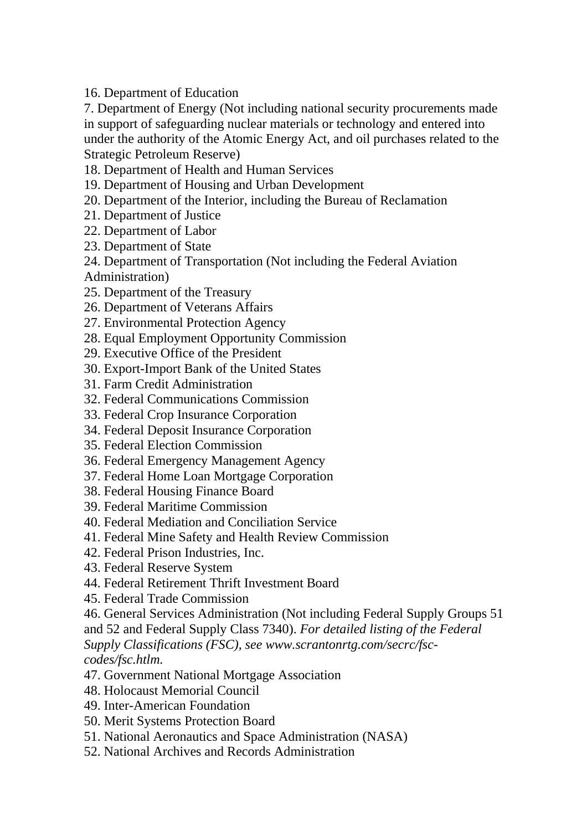16. Department of Education

7. Department of Energy (Not including national security procurements made in support of safeguarding nuclear materials or technology and entered into under the authority of the Atomic Energy Act, and oil purchases related to the Strategic Petroleum Reserve)

18. Department of Health and Human Services

- 19. Department of Housing and Urban Development
- 20. Department of the Interior, including the Bureau of Reclamation
- 21. Department of Justice
- 22. Department of Labor
- 23. Department of State
- 24. Department of Transportation (Not including the Federal Aviation

Administration)

- 25. Department of the Treasury
- 26. Department of Veterans Affairs
- 27. Environmental Protection Agency
- 28. Equal Employment Opportunity Commission
- 29. Executive Office of the President
- 30. Export-Import Bank of the United States
- 31. Farm Credit Administration
- 32. Federal Communications Commission
- 33. Federal Crop Insurance Corporation
- 34. Federal Deposit Insurance Corporation
- 35. Federal Election Commission
- 36. Federal Emergency Management Agency
- 37. Federal Home Loan Mortgage Corporation
- 38. Federal Housing Finance Board
- 39. Federal Maritime Commission
- 40. Federal Mediation and Conciliation Service
- 41. Federal Mine Safety and Health Review Commission
- 42. Federal Prison Industries, Inc.
- 43. Federal Reserve System
- 44. Federal Retirement Thrift Investment Board
- 45. Federal Trade Commission

46. General Services Administration (Not including Federal Supply Groups 51

and 52 and Federal Supply Class 7340). *For detailed listing of the Federal* 

*Supply Classifications (FSC), see www.scrantonrtg.com/secrc/fsccodes/fsc.htlm.*

- 47. Government National Mortgage Association
- 48. Holocaust Memorial Council
- 49. Inter-American Foundation
- 50. Merit Systems Protection Board
- 51. National Aeronautics and Space Administration (NASA)
- 52. National Archives and Records Administration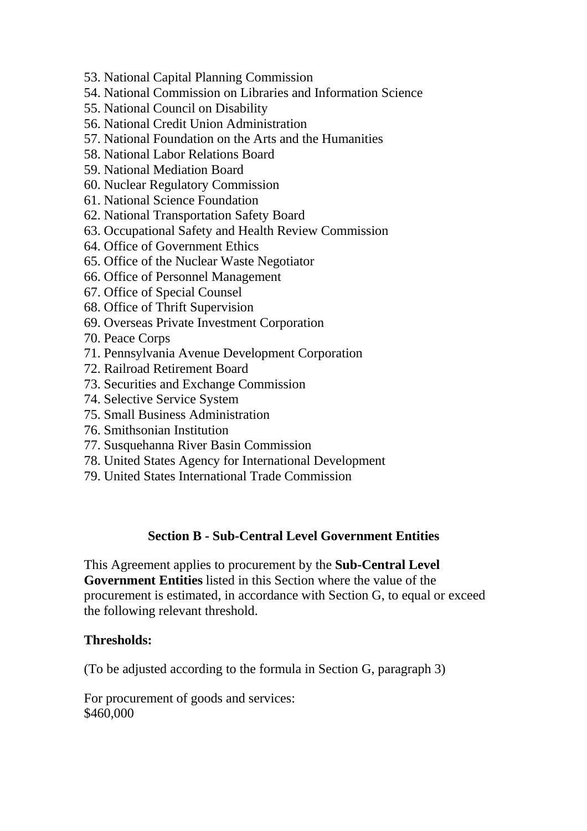- 53. National Capital Planning Commission
- 54. National Commission on Libraries and Information Science
- 55. National Council on Disability
- 56. National Credit Union Administration
- 57. National Foundation on the Arts and the Humanities
- 58. National Labor Relations Board
- 59. National Mediation Board
- 60. Nuclear Regulatory Commission
- 61. National Science Foundation
- 62. National Transportation Safety Board
- 63. Occupational Safety and Health Review Commission
- 64. Office of Government Ethics
- 65. Office of the Nuclear Waste Negotiator
- 66. Office of Personnel Management
- 67. Office of Special Counsel
- 68. Office of Thrift Supervision
- 69. Overseas Private Investment Corporation
- 70. Peace Corps
- 71. Pennsylvania Avenue Development Corporation
- 72. Railroad Retirement Board
- 73. Securities and Exchange Commission
- 74. Selective Service System
- 75. Small Business Administration
- 76. Smithsonian Institution
- 77. Susquehanna River Basin Commission
- 78. United States Agency for International Development
- 79. United States International Trade Commission

# **Section B - Sub-Central Level Government Entities**

This Agreement applies to procurement by the **Sub-Central Level Government Entities** listed in this Section where the value of the procurement is estimated, in accordance with Section G, to equal or exceed the following relevant threshold.

#### **Thresholds:**

(To be adjusted according to the formula in Section G, paragraph 3)

For procurement of goods and services: \$460,000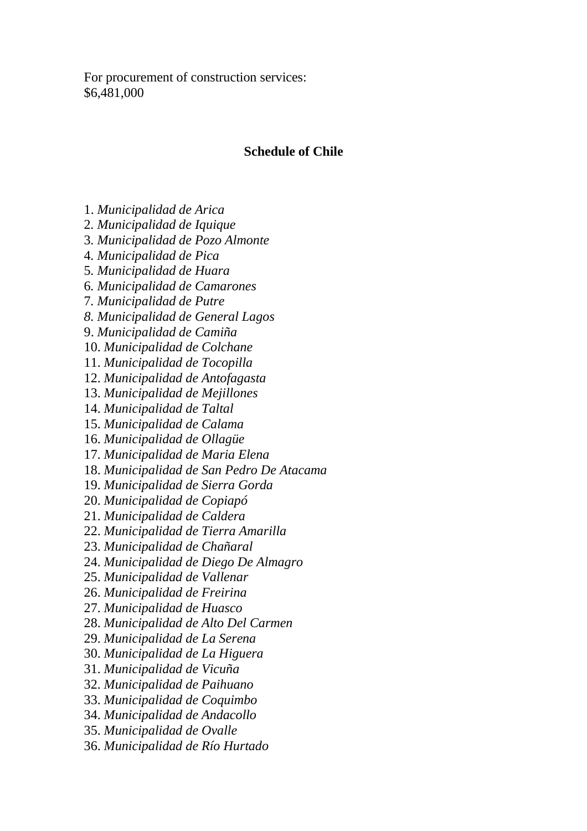For procurement of construction services: \$6,481,000

#### **Schedule of Chile**

- 1. *Municipalidad de Arica*
- 2*. Municipalidad de Iquique*
- 3*. Municipalidad de Pozo Almonte*
- 4*. Municipalidad de Pica*
- 5*. Municipalidad de Huara*
- 6*. Municipalidad de Camarones*
- 7*. Municipalidad de Putre*
- *8. Municipalidad de General Lagos*
- 9. *Municipalidad de Camiña*
- 10. *Municipalidad de Colchane*
- 11. *Municipalidad de Tocopilla*
- 12. *Municipalidad de Antofagasta*
- 13. *Municipalidad de Mejillones*
- 14. *Municipalidad de Taltal*
- 15. *Municipalidad de Calama*
- 16. *Municipalidad de Ollagüe*
- 17. *Municipalidad de Maria Elena*
- 18. *Municipalidad de San Pedro De Atacama*
- 19. *Municipalidad de Sierra Gorda*
- 20. *Municipalidad de Copiapó*
- 21. *Municipalidad de Caldera*
- 22. *Municipalidad de Tierra Amarilla*
- 23. *Municipalidad de Chañaral*
- 24. *Municipalidad de Diego De Almagro*
- 25. *Municipalidad de Vallenar*
- 26. *Municipalidad de Freirina*
- 27. *Municipalidad de Huasco*
- 28. *Municipalidad de Alto Del Carmen*
- 29. *Municipalidad de La Serena*
- 30. *Municipalidad de La Higuera*
- 31. *Municipalidad de Vicuña*
- 32. *Municipalidad de Paihuano*
- 33. *Municipalidad de Coquimbo*
- 34. *Municipalidad de Andacollo*
- 35. *Municipalidad de Ovalle*
- 36. *Municipalidad de Río Hurtado*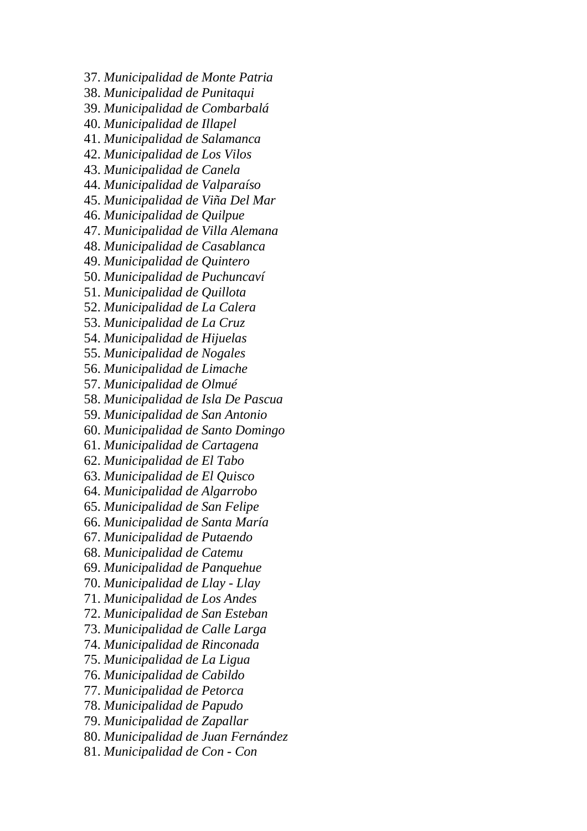- 37. *Municipalidad de Monte Patria*
- 38. *Municipalidad de Punitaqui*
- 39. *Municipalidad de Combarbalá*
- 40. *Municipalidad de Illapel*
- 41. *Municipalidad de Salamanca*
- 42. *Municipalidad de Los Vilos*
- 43. *Municipalidad de Canela*
- 44. *Municipalidad de Valparaíso*
- 45. *Municipalidad de Viña Del Mar*
- 46. *Municipalidad de Quilpue*
- 47. *Municipalidad de Villa Alemana*
- 48. *Municipalidad de Casablanca*
- 49. *Municipalidad de Quintero*
- 50. *Municipalidad de Puchuncaví*
- 51. *Municipalidad de Quillota*
- 52. *Municipalidad de La Calera*
- 53. *Municipalidad de La Cruz*
- 54. *Municipalidad de Hijuelas*
- 55. *Municipalidad de Nogales*
- 56. *Municipalidad de Limache*
- 57. *Municipalidad de Olmué*
- 58. *Municipalidad de Isla De Pascua*
- 59. *Municipalidad de San Antonio*
- 60. *Municipalidad de Santo Domingo*
- 61. *Municipalidad de Cartagena*
- 62. *Municipalidad de El Tabo*
- 63. *Municipalidad de El Quisco*
- 64. *Municipalidad de Algarrobo*
- 65. *Municipalidad de San Felipe*
- 66. *Municipalidad de Santa María*
- 67. *Municipalidad de Putaendo*
- 68. *Municipalidad de Catemu*
- 69. *Municipalidad de Panquehue*
- 70. *Municipalidad de Llay Llay*
- 71. *Municipalidad de Los Andes*
- 72. *Municipalidad de San Esteban*
- 73. *Municipalidad de Calle Larga*
- 74. *Municipalidad de Rinconada*
- 75. *Municipalidad de La Ligua*
- 76. *Municipalidad de Cabildo*
- 77. *Municipalidad de Petorca*
- 78. *Municipalidad de Papudo*
- 79. *Municipalidad de Zapallar*
- 80. *Municipalidad de Juan Fernández*
- 81. *Municipalidad de Con Con*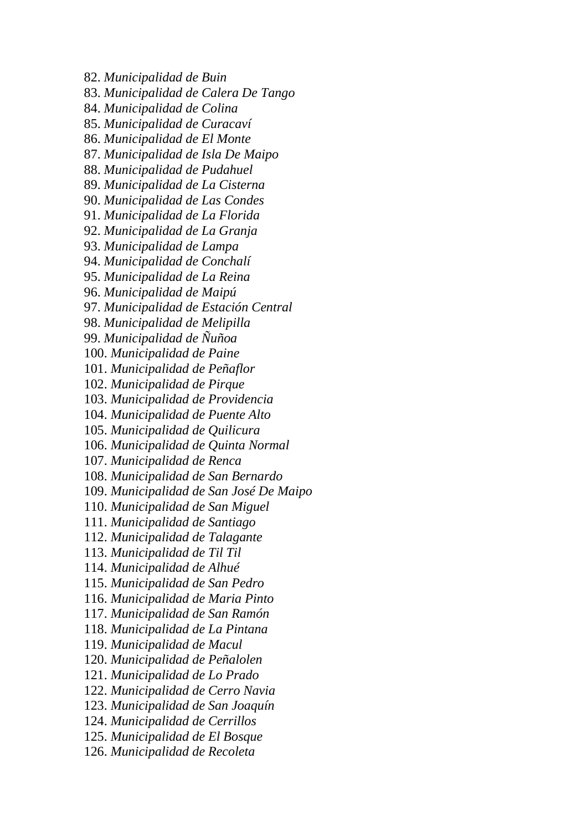82. *Municipalidad de Buin*

83. *Municipalidad de Calera De Tango*

84. *Municipalidad de Colina*

85. *Municipalidad de Curacaví*

86. *Municipalidad de El Monte*

87. *Municipalidad de Isla De Maipo*

88. *Municipalidad de Pudahuel*

89. *Municipalidad de La Cisterna*

90. *Municipalidad de Las Condes*

91. *Municipalidad de La Florida*

92. *Municipalidad de La Granja*

93. *Municipalidad de Lampa*

94. *Municipalidad de Conchalí*

95. *Municipalidad de La Reina*

96. *Municipalidad de Maipú*

97. *Municipalidad de Estación Central*

98. *Municipalidad de Melipilla*

99. *Municipalidad de Ñuñoa*

100. *Municipalidad de Paine*

101. *Municipalidad de Peñaflor*

102. *Municipalidad de Pirque*

103. *Municipalidad de Providencia*

104. *Municipalidad de Puente Alto*

105. *Municipalidad de Quilicura*

106. *Municipalidad de Quinta Normal*

107. *Municipalidad de Renca*

108. *Municipalidad de San Bernardo*

109. *Municipalidad de San José De Maipo*

110. *Municipalidad de San Miguel*

111. *Municipalidad de Santiago*

112. *Municipalidad de Talagante*

113. *Municipalidad de Til Til*

114. *Municipalidad de Alhué*

115. *Municipalidad de San Pedro*

116. *Municipalidad de Maria Pinto*

117. *Municipalidad de San Ramón*

118. *Municipalidad de La Pintana*

119. *Municipalidad de Macul*

120. *Municipalidad de Peñalolen*

121. *Municipalidad de Lo Prado*

122. *Municipalidad de Cerro Navia*

123. *Municipalidad de San Joaquín*

124. *Municipalidad de Cerrillos*

125. *Municipalidad de El Bosque*

126. *Municipalidad de Recoleta*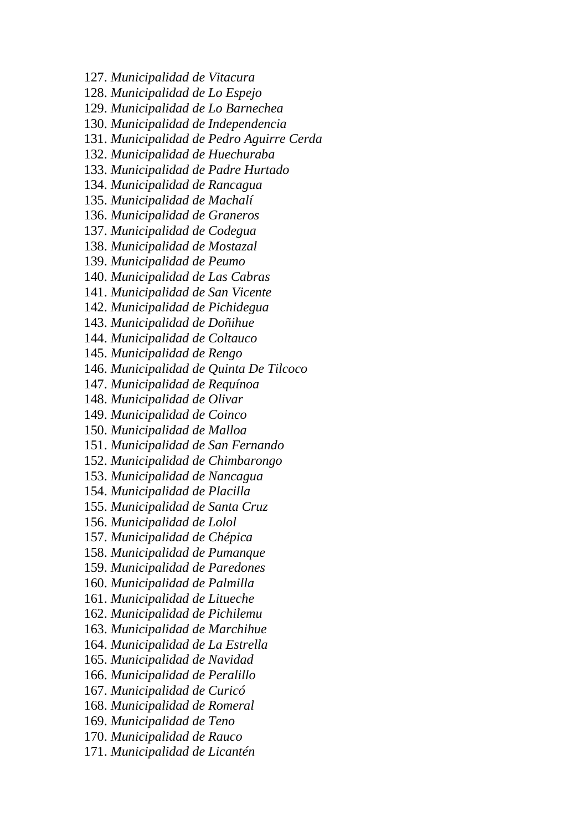127. *Municipalidad de Vitacura*

128. *Municipalidad de Lo Espejo*

129. *Municipalidad de Lo Barnechea*

130. *Municipalidad de Independencia*

131. *Municipalidad de Pedro Aguirre Cerda*

132. *Municipalidad de Huechuraba*

133. *Municipalidad de Padre Hurtado*

134. *Municipalidad de Rancagua*

135. *Municipalidad de Machalí*

136. *Municipalidad de Graneros*

137. *Municipalidad de Codegua*

138. *Municipalidad de Mostazal*

139. *Municipalidad de Peumo*

140. *Municipalidad de Las Cabras*

141. *Municipalidad de San Vicente*

142. *Municipalidad de Pichidegua*

143. *Municipalidad de Doñihue*

144. *Municipalidad de Coltauco*

145. *Municipalidad de Rengo*

146. *Municipalidad de Quinta De Tilcoco*

147. *Municipalidad de Requínoa*

148. *Municipalidad de Olivar*

149. *Municipalidad de Coinco*

150. *Municipalidad de Malloa*

151. *Municipalidad de San Fernando*

152. *Municipalidad de Chimbarongo*

153. *Municipalidad de Nancagua*

154. *Municipalidad de Placilla*

155. *Municipalidad de Santa Cruz*

156. *Municipalidad de Lolol*

157. *Municipalidad de Chépica*

158. *Municipalidad de Pumanque*

159. *Municipalidad de Paredones*

160. *Municipalidad de Palmilla*

161. *Municipalidad de Litueche*

162. *Municipalidad de Pichilemu*

163. *Municipalidad de Marchihue*

164. *Municipalidad de La Estrella*

165. *Municipalidad de Navidad*

166. *Municipalidad de Peralillo*

167. *Municipalidad de Curicó*

168. *Municipalidad de Romeral*

169. *Municipalidad de Teno*

170. *Municipalidad de Rauco*

171. *Municipalidad de Licantén*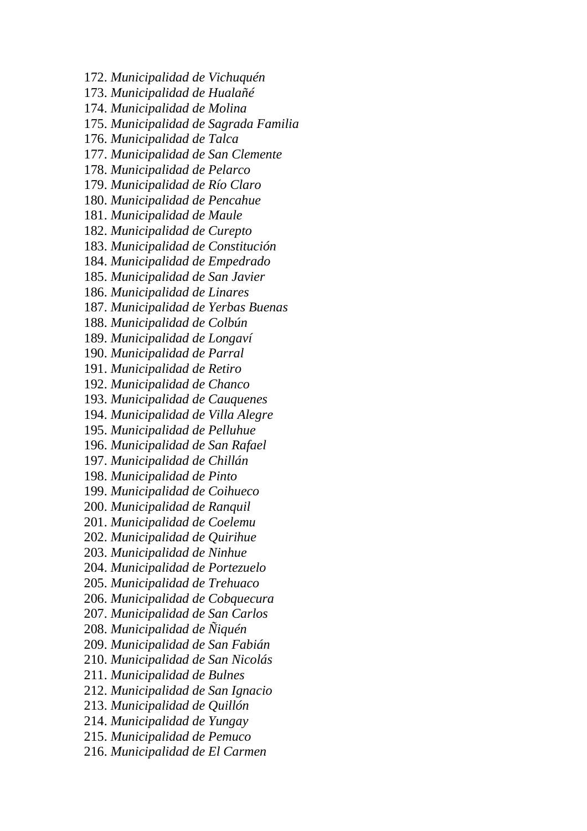172. *Municipalidad de Vichuquén* 173. *Municipalidad de Hualañé*

174. *Municipalidad de Molina*

175. *Municipalidad de Sagrada Familia*

176. *Municipalidad de Talca*

177. *Municipalidad de San Clemente*

178. *Municipalidad de Pelarco*

179. *Municipalidad de Río Claro*

180. *Municipalidad de Pencahue*

181. *Municipalidad de Maule*

182. *Municipalidad de Curepto*

183. *Municipalidad de Constitución*

184. *Municipalidad de Empedrado*

185. *Municipalidad de San Javier*

186. *Municipalidad de Linares*

187. *Municipalidad de Yerbas Buenas*

188. *Municipalidad de Colbún*

189. *Municipalidad de Longaví*

190. *Municipalidad de Parral*

191. *Municipalidad de Retiro*

192. *Municipalidad de Chanco*

193. *Municipalidad de Cauquenes*

194. *Municipalidad de Villa Alegre*

195. *Municipalidad de Pelluhue*

196. *Municipalidad de San Rafael*

197. *Municipalidad de Chillán*

198. *Municipalidad de Pinto*

199. *Municipalidad de Coihueco*

200. *Municipalidad de Ranquil*

201. *Municipalidad de Coelemu*

202. *Municipalidad de Quirihue*

203. *Municipalidad de Ninhue*

204. *Municipalidad de Portezuelo*

205. *Municipalidad de Trehuaco*

206. *Municipalidad de Cobquecura*

207. *Municipalidad de San Carlos*

208. *Municipalidad de Ñiquén*

209. *Municipalidad de San Fabián*

210. *Municipalidad de San Nicolás*

211. *Municipalidad de Bulnes*

212. *Municipalidad de San Ignacio*

213. *Municipalidad de Quillón*

214. *Municipalidad de Yungay*

215. *Municipalidad de Pemuco*

216. *Municipalidad de El Carmen*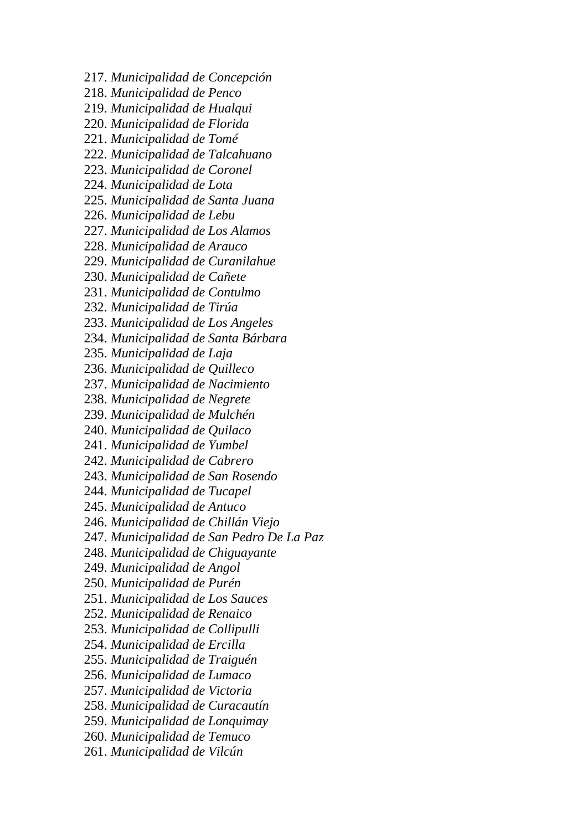217. *Municipalidad de Concepción*

- 218. *Municipalidad de Penco*
- 219. *Municipalidad de Hualqui*
- 220. *Municipalidad de Florida*
- 221. *Municipalidad de Tomé*
- 222. *Municipalidad de Talcahuano*
- 223. *Municipalidad de Coronel*
- 224. *Municipalidad de Lota*
- 225. *Municipalidad de Santa Juana*
- 226. *Municipalidad de Lebu*
- 227. *Municipalidad de Los Alamos*
- 228. *Municipalidad de Arauco*
- 229. *Municipalidad de Curanilahue*
- 230. *Municipalidad de Cañete*
- 231. *Municipalidad de Contulmo*
- 232. *Municipalidad de Tirúa*
- 233. *Municipalidad de Los Angeles*
- 234. *Municipalidad de Santa Bárbara*
- 235. *Municipalidad de Laja*
- 236. *Municipalidad de Quilleco*
- 237. *Municipalidad de Nacimiento*
- 238. *Municipalidad de Negrete*
- 239. *Municipalidad de Mulchén*
- 240. *Municipalidad de Quilaco*
- 241. *Municipalidad de Yumbel*
- 242. *Municipalidad de Cabrero*
- 243. *Municipalidad de San Rosendo*
- 244. *Municipalidad de Tucapel*
- 245. *Municipalidad de Antuco*
- 246. *Municipalidad de Chillán Viejo*
- 247. *Municipalidad de San Pedro De La Paz*
- 248. *Municipalidad de Chiguayante*
- 249. *Municipalidad de Angol*
- 250. *Municipalidad de Purén*
- 251. *Municipalidad de Los Sauces*
- 252. *Municipalidad de Renaico*
- 253. *Municipalidad de Collipulli*
- 254. *Municipalidad de Ercilla*
- 255. *Municipalidad de Traiguén*
- 256. *Municipalidad de Lumaco*
- 257. *Municipalidad de Victoria*
- 258. *Municipalidad de Curacautín*
- 259. *Municipalidad de Lonquimay*
- 260. *Municipalidad de Temuco*
- 261. *Municipalidad de Vilcún*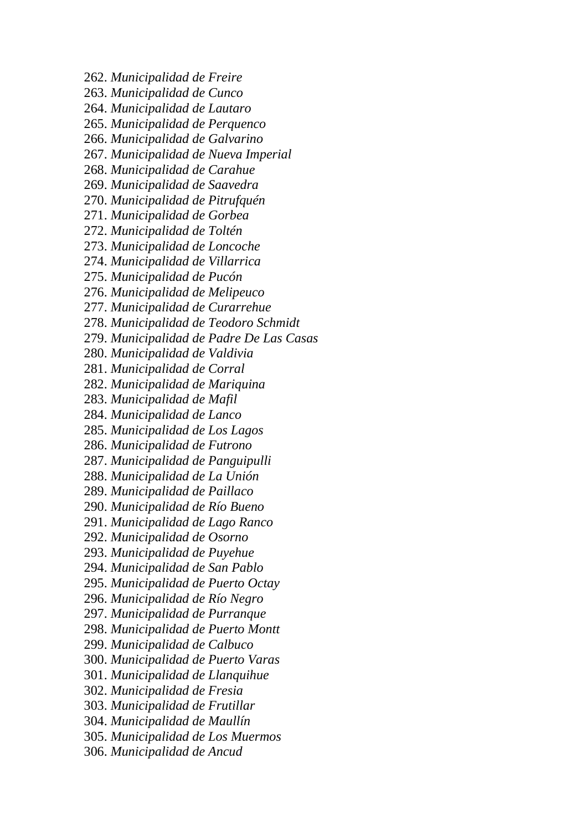262. *Municipalidad de Freire* 263. *Municipalidad de Cunco* 264. *Municipalidad de Lautaro* 265. *Municipalidad de Perquenco* 266. *Municipalidad de Galvarino* 267. *Municipalidad de Nueva Imperial* 268. *Municipalidad de Carahue* 269. *Municipalidad de Saavedra* 270. *Municipalidad de Pitrufquén* 271. *Municipalidad de Gorbea* 272. *Municipalidad de Toltén* 273. *Municipalidad de Loncoche* 274. *Municipalidad de Villarrica* 275. *Municipalidad de Pucón* 276. *Municipalidad de Melipeuco* 277. *Municipalidad de Curarrehue* 278. *Municipalidad de Teodoro Schmidt* 279. *Municipalidad de Padre De Las Casas* 280. *Municipalidad de Valdivia* 281. *Municipalidad de Corral* 282. *Municipalidad de Mariquina* 283. *Municipalidad de Mafil* 284. *Municipalidad de Lanco* 285. *Municipalidad de Los Lagos* 286. *Municipalidad de Futrono* 287. *Municipalidad de Panguipulli* 288. *Municipalidad de La Unión* 289. *Municipalidad de Paillaco* 290. *Municipalidad de Río Bueno* 291. *Municipalidad de Lago Ranco* 292. *Municipalidad de Osorno* 293. *Municipalidad de Puyehue* 294. *Municipalidad de San Pablo* 295. *Municipalidad de Puerto Octay* 296. *Municipalidad de Río Negro* 297. *Municipalidad de Purranque* 298. *Municipalidad de Puerto Montt* 299. *Municipalidad de Calbuco* 300. *Municipalidad de Puerto Varas* 301. *Municipalidad de Llanquihue* 302. *Municipalidad de Fresia* 303. *Municipalidad de Frutillar* 304. *Municipalidad de Maullín* 305. *Municipalidad de Los Muermos*

306. *Municipalidad de Ancud*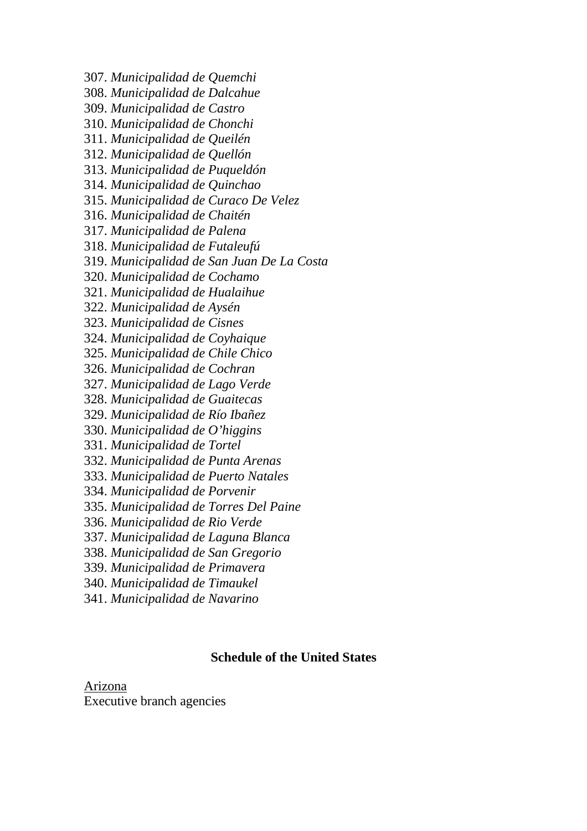307. *Municipalidad de Quemchi*

308. *Municipalidad de Dalcahue*

- 309. *Municipalidad de Castro*
- 310. *Municipalidad de Chonchi*
- 311. *Municipalidad de Queilén*
- 312. *Municipalidad de Quellón*
- 313. *Municipalidad de Puqueldón*
- 314. *Municipalidad de Quinchao*
- 315. *Municipalidad de Curaco De Velez*
- 316. *Municipalidad de Chaitén*
- 317. *Municipalidad de Palena*
- 318. *Municipalidad de Futaleufú*
- 319. *Municipalidad de San Juan De La Costa*
- 320. *Municipalidad de Cochamo*
- 321. *Municipalidad de Hualaihue*
- 322. *Municipalidad de Aysén*
- 323. *Municipalidad de Cisnes*
- 324. *Municipalidad de Coyhaique*
- 325. *Municipalidad de Chile Chico*
- 326. *Municipalidad de Cochran*
- 327. *Municipalidad de Lago Verde*
- 328. *Municipalidad de Guaitecas*
- 329. *Municipalidad de Río Ibañez*
- 330. *Municipalidad de O'higgins*
- 331. *Municipalidad de Tortel*
- 332. *Municipalidad de Punta Arenas*
- 333. *Municipalidad de Puerto Natales*
- 334. *Municipalidad de Porvenir*
- 335. *Municipalidad de Torres Del Paine*
- 336. *Municipalidad de Rio Verde*
- 337. *Municipalidad de Laguna Blanca*
- 338. *Municipalidad de San Gregorio*
- 339. *Municipalidad de Primavera*
- 340. *Municipalidad de Timaukel*
- 341. *Municipalidad de Navarino*

#### **Schedule of the United States**

Arizona Executive branch agencies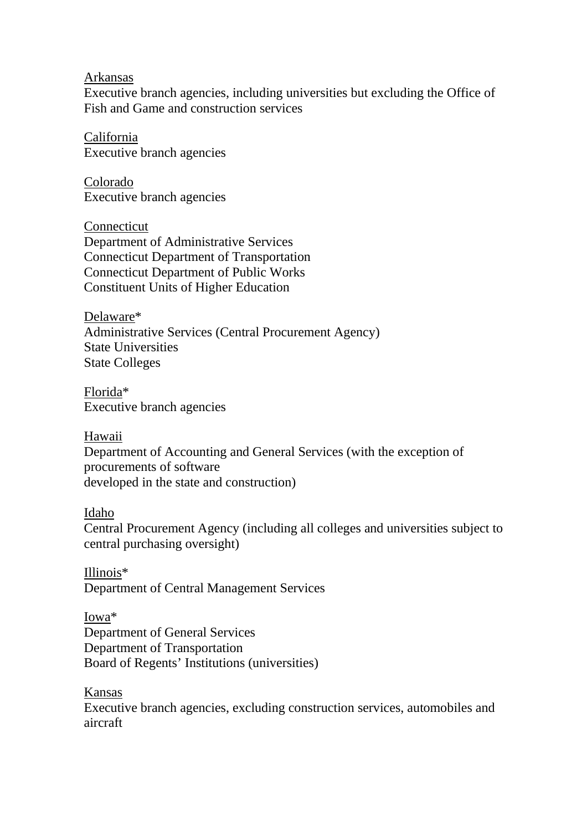Arkansas

Executive branch agencies, including universities but excluding the Office of Fish and Game and construction services

California Executive branch agencies

Colorado Executive branch agencies

**Connecticut** Department of Administrative Services Connecticut Department of Transportation Connecticut Department of Public Works Constituent Units of Higher Education

Delaware\* Administrative Services (Central Procurement Agency) State Universities State Colleges

Florida\* Executive branch agencies

Hawaii Department of Accounting and General Services (with the exception of procurements of software developed in the state and construction)

#### Idaho

Central Procurement Agency (including all colleges and universities subject to central purchasing oversight)

Illinois\* Department of Central Management Services

Iowa\* Department of General Services Department of Transportation Board of Regents' Institutions (universities)

Kansas

Executive branch agencies, excluding construction services, automobiles and aircraft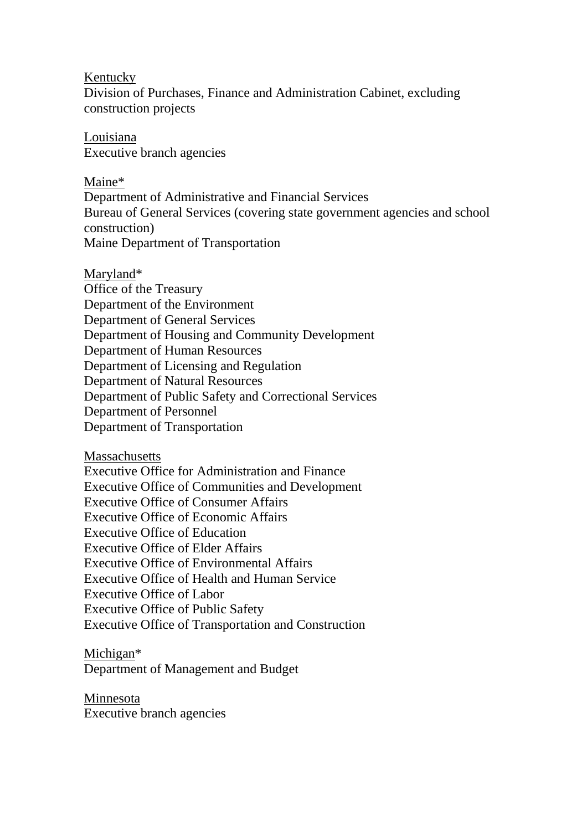#### Kentucky

Division of Purchases, Finance and Administration Cabinet, excluding construction projects

Louisiana Executive branch agencies

Maine\* Department of Administrative and Financial Services Bureau of General Services (covering state government agencies and school construction) Maine Department of Transportation

Maryland\* Office of the Treasury Department of the Environment Department of General Services Department of Housing and Community Development Department of Human Resources Department of Licensing and Regulation Department of Natural Resources Department of Public Safety and Correctional Services Department of Personnel Department of Transportation

**Massachusetts** 

Executive Office for Administration and Finance Executive Office of Communities and Development Executive Office of Consumer Affairs Executive Office of Economic Affairs Executive Office of Education Executive Office of Elder Affairs Executive Office of Environmental Affairs Executive Office of Health and Human Service Executive Office of Labor Executive Office of Public Safety Executive Office of Transportation and Construction

Michigan\*

Department of Management and Budget

Minnesota Executive branch agencies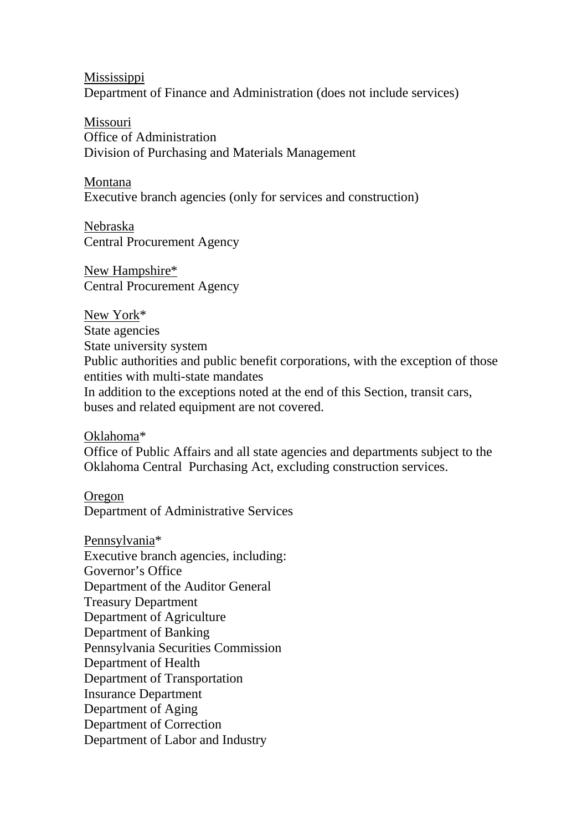Mississippi Department of Finance and Administration (does not include services)

Missouri Office of Administration Division of Purchasing and Materials Management

Montana Executive branch agencies (only for services and construction)

Nebraska Central Procurement Agency

New Hampshire\* Central Procurement Agency

New York\* State agencies State university system Public authorities and public benefit corporations, with the exception of those entities with multi-state mandates In addition to the exceptions noted at the end of this Section, transit cars, buses and related equipment are not covered.

Oklahoma\*

Office of Public Affairs and all state agencies and departments subject to the Oklahoma Central Purchasing Act, excluding construction services.

Oregon Department of Administrative Services

Pennsylvania\* Executive branch agencies, including: Governor's Office Department of the Auditor General Treasury Department Department of Agriculture Department of Banking Pennsylvania Securities Commission Department of Health Department of Transportation Insurance Department Department of Aging Department of Correction Department of Labor and Industry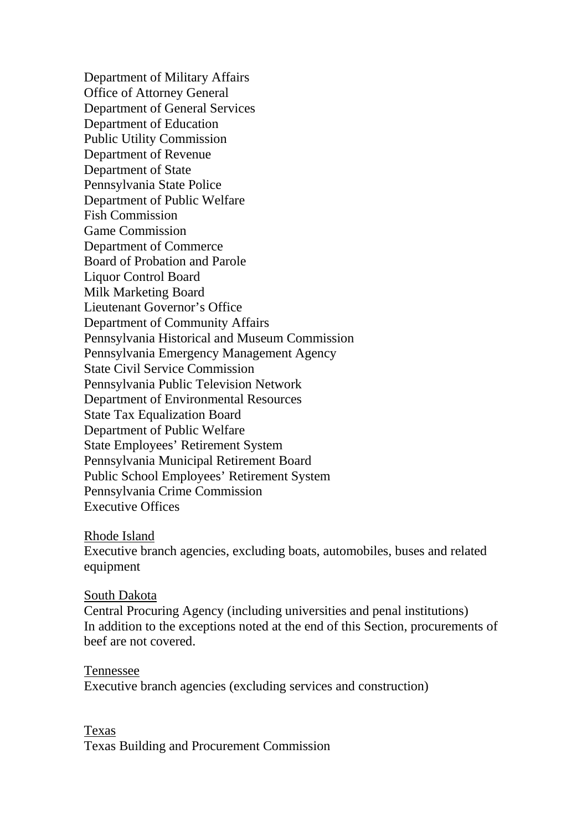Department of Military Affairs Office of Attorney General Department of General Services Department of Education Public Utility Commission Department of Revenue Department of State Pennsylvania State Police Department of Public Welfare Fish Commission Game Commission Department of Commerce Board of Probation and Parole Liquor Control Board Milk Marketing Board Lieutenant Governor's Office Department of Community Affairs Pennsylvania Historical and Museum Commission Pennsylvania Emergency Management Agency State Civil Service Commission Pennsylvania Public Television Network Department of Environmental Resources State Tax Equalization Board Department of Public Welfare State Employees' Retirement System Pennsylvania Municipal Retirement Board Public School Employees' Retirement System Pennsylvania Crime Commission Executive Offices

#### Rhode Island

Executive branch agencies, excluding boats, automobiles, buses and related equipment

#### South Dakota

Central Procuring Agency (including universities and penal institutions) In addition to the exceptions noted at the end of this Section, procurements of beef are not covered.

#### Tennessee

Executive branch agencies (excluding services and construction)

#### Texas

Texas Building and Procurement Commission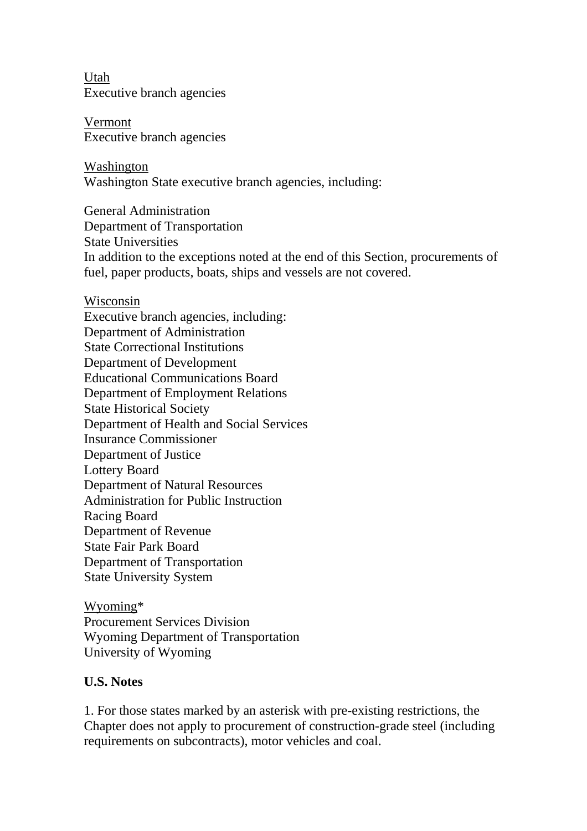Utah Executive branch agencies

Vermont Executive branch agencies

Washington Washington State executive branch agencies, including:

General Administration Department of Transportation State Universities In addition to the exceptions noted at the end of this Section, procurements of fuel, paper products, boats, ships and vessels are not covered.

Wisconsin Executive branch agencies, including: Department of Administration State Correctional Institutions Department of Development Educational Communications Board Department of Employment Relations State Historical Society Department of Health and Social Services Insurance Commissioner Department of Justice Lottery Board Department of Natural Resources Administration for Public Instruction Racing Board Department of Revenue State Fair Park Board Department of Transportation State University System

Wyoming\* Procurement Services Division Wyoming Department of Transportation University of Wyoming

# **U.S. Notes**

1. For those states marked by an asterisk with pre-existing restrictions, the Chapter does not apply to procurement of construction-grade steel (including requirements on subcontracts), motor vehicles and coal.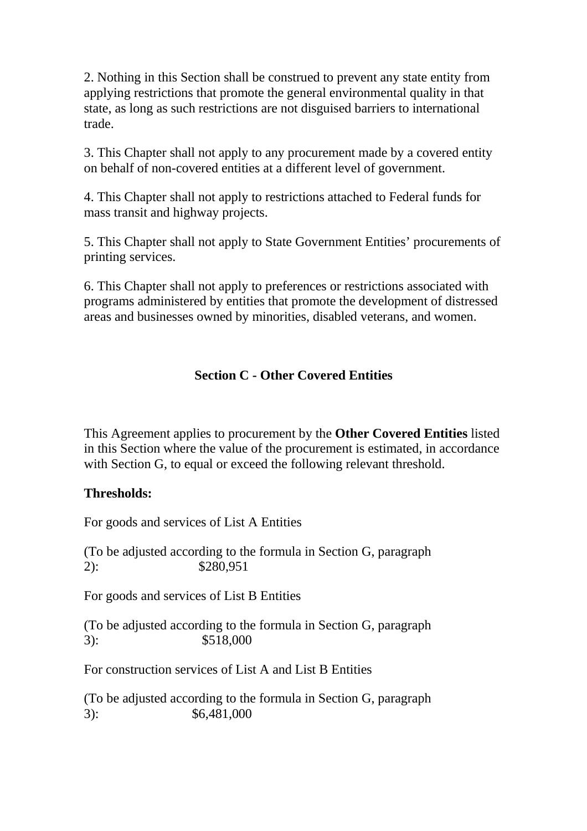2. Nothing in this Section shall be construed to prevent any state entity from applying restrictions that promote the general environmental quality in that state, as long as such restrictions are not disguised barriers to international trade.

3. This Chapter shall not apply to any procurement made by a covered entity on behalf of non-covered entities at a different level of government.

4. This Chapter shall not apply to restrictions attached to Federal funds for mass transit and highway projects.

5. This Chapter shall not apply to State Government Entities' procurements of printing services.

6. This Chapter shall not apply to preferences or restrictions associated with programs administered by entities that promote the development of distressed areas and businesses owned by minorities, disabled veterans, and women.

# **Section C - Other Covered Entities**

This Agreement applies to procurement by the **Other Covered Entities** listed in this Section where the value of the procurement is estimated, in accordance with Section G, to equal or exceed the following relevant threshold.

# **Thresholds:**

For goods and services of List A Entities

(To be adjusted according to the formula in Section G, paragraph 2): \$280,951

For goods and services of List B Entities

(To be adjusted according to the formula in Section G, paragraph 3): \$518,000

For construction services of List A and List B Entities

(To be adjusted according to the formula in Section G, paragraph 3): \$6,481,000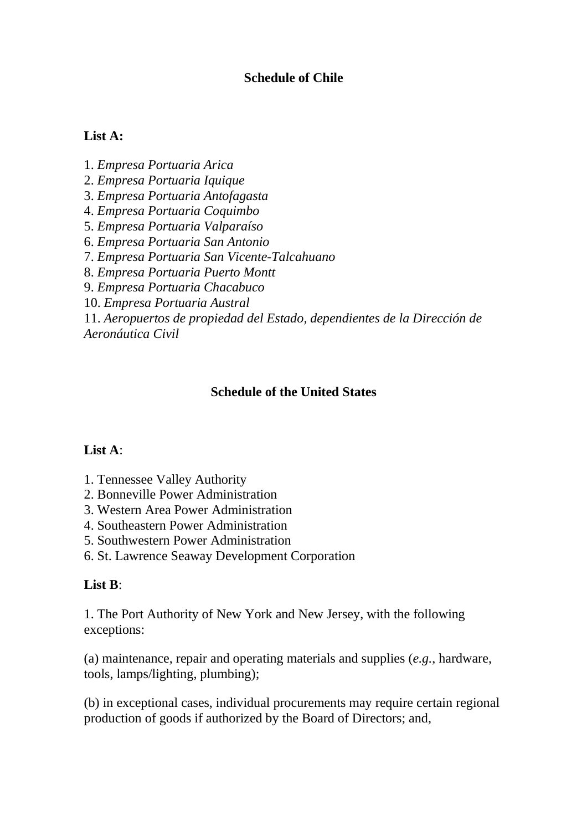# **Schedule of Chile**

#### **List A:**

1. *Empresa Portuaria Arica* 2. *Empresa Portuaria Iquique* 3. *Empresa Portuaria Antofagasta* 4. *Empresa Portuaria Coquimbo* 5. *Empresa Portuaria Valparaíso* 6. *Empresa Portuaria San Antonio* 7. *Empresa Portuaria San Vicente-Talcahuano* 8. *Empresa Portuaria Puerto Montt* 9. *Empresa Portuaria Chacabuco* 10. *Empresa Portuaria Austral* 11. *Aeropuertos de propiedad del Estado, dependientes de la Dirección de Aeronáutica Civil*

# **Schedule of the United States**

#### **List A**:

- 1. Tennessee Valley Authority
- 2. Bonneville Power Administration
- 3. Western Area Power Administration
- 4. Southeastern Power Administration
- 5. Southwestern Power Administration
- 6. St. Lawrence Seaway Development Corporation

#### **List B**:

1. The Port Authority of New York and New Jersey, with the following exceptions:

(a) maintenance, repair and operating materials and supplies (*e.g.*, hardware, tools, lamps/lighting, plumbing);

(b) in exceptional cases, individual procurements may require certain regional production of goods if authorized by the Board of Directors; and,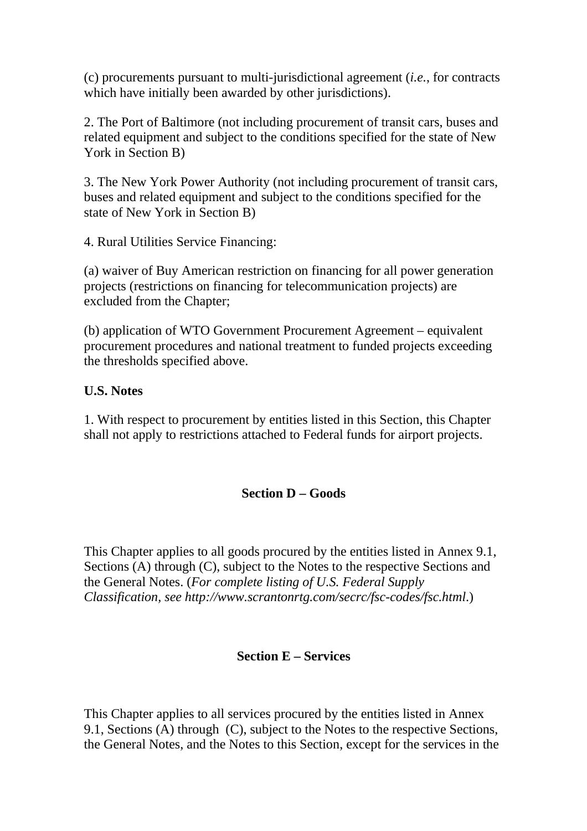(c) procurements pursuant to multi-jurisdictional agreement (*i.e.*, for contracts which have initially been awarded by other jurisdictions).

2. The Port of Baltimore (not including procurement of transit cars, buses and related equipment and subject to the conditions specified for the state of New York in Section B)

3. The New York Power Authority (not including procurement of transit cars, buses and related equipment and subject to the conditions specified for the state of New York in Section B)

4. Rural Utilities Service Financing:

(a) waiver of Buy American restriction on financing for all power generation projects (restrictions on financing for telecommunication projects) are excluded from the Chapter;

(b) application of WTO Government Procurement Agreement – equivalent procurement procedures and national treatment to funded projects exceeding the thresholds specified above.

# **U.S. Notes**

1. With respect to procurement by entities listed in this Section, this Chapter shall not apply to restrictions attached to Federal funds for airport projects.

# **Section D – Goods**

This Chapter applies to all goods procured by the entities listed in Annex 9.1, Sections (A) through (C), subject to the Notes to the respective Sections and the General Notes. (*For complete listing of U.S. Federal Supply Classification, see http://www.scrantonrtg.com/secrc/fsc-codes/fsc.html*.)

# **Section E – Services**

This Chapter applies to all services procured by the entities listed in Annex 9.1, Sections (A) through (C), subject to the Notes to the respective Sections, the General Notes, and the Notes to this Section, except for the services in the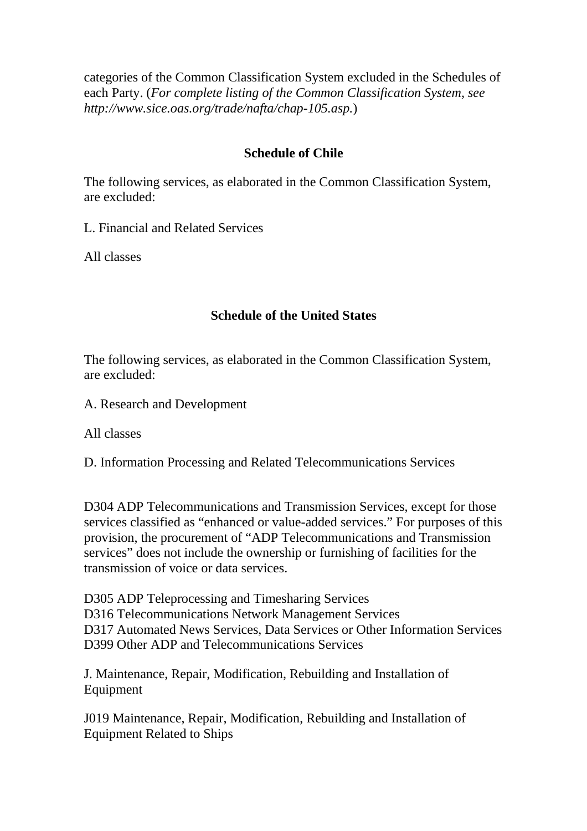categories of the Common Classification System excluded in the Schedules of each Party. (*For complete listing of the Common Classification System, see http://www.sice.oas.org/trade/nafta/chap-105.asp.*)

# **Schedule of Chile**

The following services, as elaborated in the Common Classification System, are excluded:

L. Financial and Related Services

All classes

# **Schedule of the United States**

The following services, as elaborated in the Common Classification System, are excluded:

A. Research and Development

All classes

D. Information Processing and Related Telecommunications Services

D304 ADP Telecommunications and Transmission Services, except for those services classified as "enhanced or value-added services." For purposes of this provision, the procurement of "ADP Telecommunications and Transmission services" does not include the ownership or furnishing of facilities for the transmission of voice or data services.

D305 ADP Teleprocessing and Timesharing Services D316 Telecommunications Network Management Services D317 Automated News Services, Data Services or Other Information Services D399 Other ADP and Telecommunications Services

J. Maintenance, Repair, Modification, Rebuilding and Installation of Equipment

J019 Maintenance, Repair, Modification, Rebuilding and Installation of Equipment Related to Ships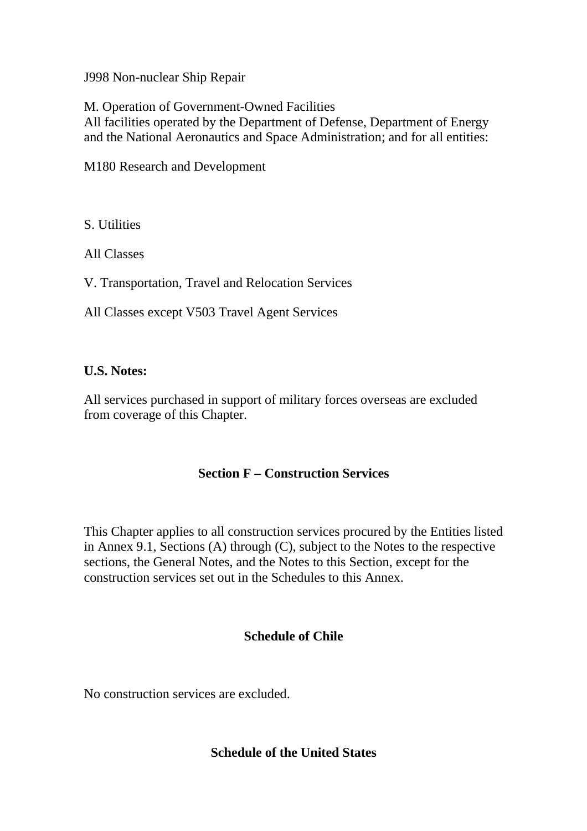J998 Non-nuclear Ship Repair

M. Operation of Government-Owned Facilities All facilities operated by the Department of Defense, Department of Energy and the National Aeronautics and Space Administration; and for all entities:

M180 Research and Development

S. Utilities

All Classes

V. Transportation, Travel and Relocation Services

All Classes except V503 Travel Agent Services

#### **U.S. Notes:**

All services purchased in support of military forces overseas are excluded from coverage of this Chapter.

# **Section F – Construction Services**

This Chapter applies to all construction services procured by the Entities listed in Annex 9.1, Sections (A) through (C), subject to the Notes to the respective sections, the General Notes, and the Notes to this Section, except for the construction services set out in the Schedules to this Annex.

# **Schedule of Chile**

No construction services are excluded.

# **Schedule of the United States**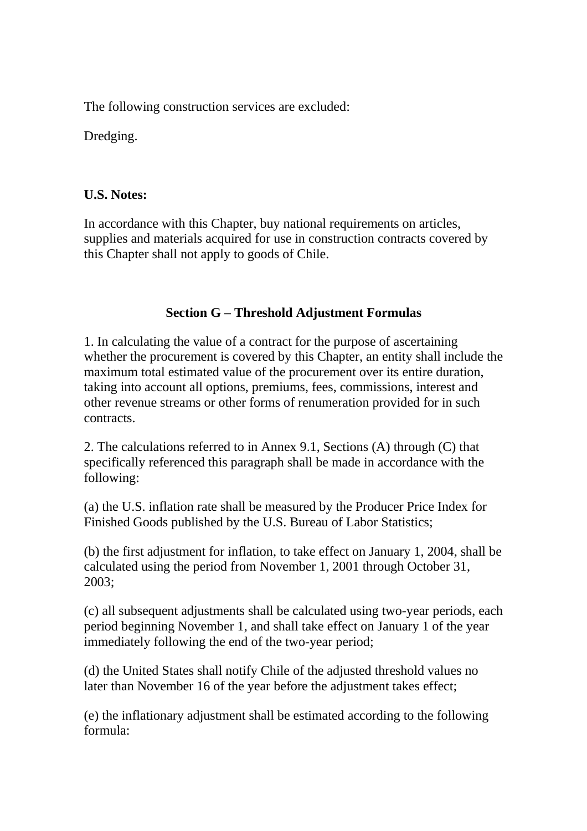The following construction services are excluded:

Dredging.

# **U.S. Notes:**

In accordance with this Chapter, buy national requirements on articles, supplies and materials acquired for use in construction contracts covered by this Chapter shall not apply to goods of Chile.

# **Section G – Threshold Adjustment Formulas**

1. In calculating the value of a contract for the purpose of ascertaining whether the procurement is covered by this Chapter, an entity shall include the maximum total estimated value of the procurement over its entire duration, taking into account all options, premiums, fees, commissions, interest and other revenue streams or other forms of renumeration provided for in such contracts.

2. The calculations referred to in Annex 9.1, Sections (A) through (C) that specifically referenced this paragraph shall be made in accordance with the following:

(a) the U.S. inflation rate shall be measured by the Producer Price Index for Finished Goods published by the U.S. Bureau of Labor Statistics;

(b) the first adjustment for inflation, to take effect on January 1, 2004, shall be calculated using the period from November 1, 2001 through October 31, 2003;

(c) all subsequent adjustments shall be calculated using two-year periods, each period beginning November 1, and shall take effect on January 1 of the year immediately following the end of the two-year period;

(d) the United States shall notify Chile of the adjusted threshold values no later than November 16 of the year before the adjustment takes effect;

(e) the inflationary adjustment shall be estimated according to the following formula: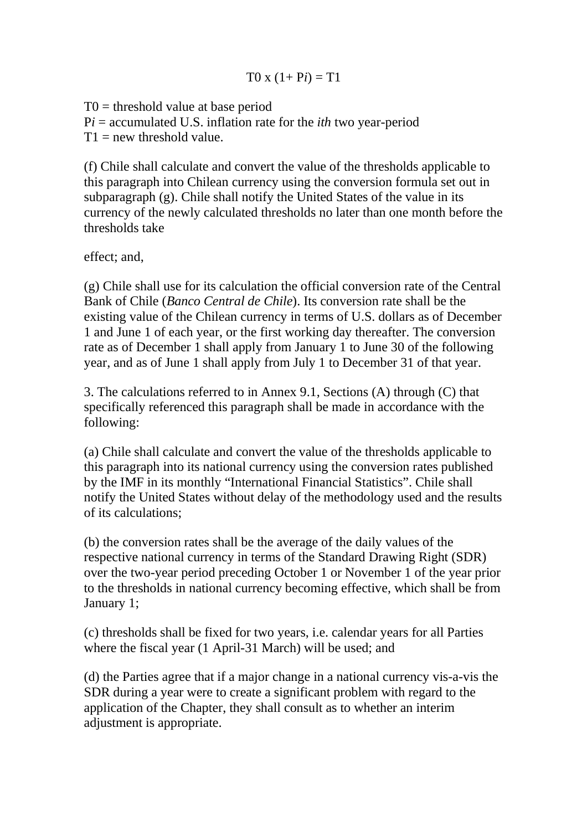# $T0 x (1 + Pi) = T1$

 $T0 =$  threshold value at base period

P*i* = accumulated U.S. inflation rate for the *ith* two year-period

 $T1$  = new threshold value.

(f) Chile shall calculate and convert the value of the thresholds applicable to this paragraph into Chilean currency using the conversion formula set out in subparagraph (g). Chile shall notify the United States of the value in its currency of the newly calculated thresholds no later than one month before the thresholds take

effect; and,

(g) Chile shall use for its calculation the official conversion rate of the Central Bank of Chile (*Banco Central de Chile*). Its conversion rate shall be the existing value of the Chilean currency in terms of U.S. dollars as of December 1 and June 1 of each year, or the first working day thereafter. The conversion rate as of December 1 shall apply from January 1 to June 30 of the following year, and as of June 1 shall apply from July 1 to December 31 of that year.

3. The calculations referred to in Annex 9.1, Sections (A) through (C) that specifically referenced this paragraph shall be made in accordance with the following:

(a) Chile shall calculate and convert the value of the thresholds applicable to this paragraph into its national currency using the conversion rates published by the IMF in its monthly "International Financial Statistics". Chile shall notify the United States without delay of the methodology used and the results of its calculations;

(b) the conversion rates shall be the average of the daily values of the respective national currency in terms of the Standard Drawing Right (SDR) over the two-year period preceding October 1 or November 1 of the year prior to the thresholds in national currency becoming effective, which shall be from January 1;

(c) thresholds shall be fixed for two years, i.e. calendar years for all Parties where the fiscal year (1 April-31 March) will be used; and

(d) the Parties agree that if a major change in a national currency vis-a-vis the SDR during a year were to create a significant problem with regard to the application of the Chapter, they shall consult as to whether an interim adjustment is appropriate.